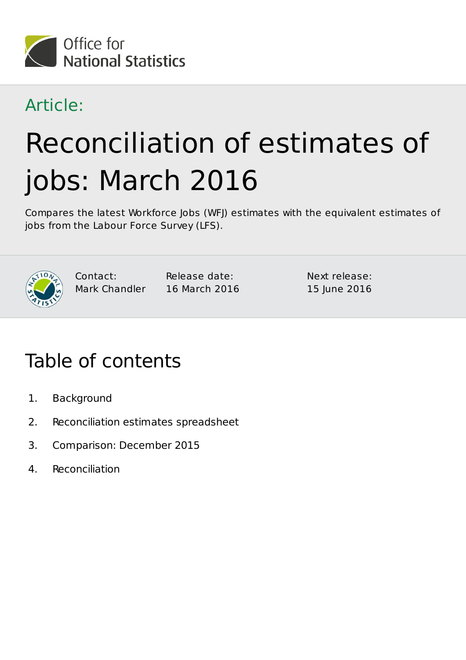

### Article:

# Reconciliation of estimates of jobs: March 2016

Compares the latest Workforce Jobs (WFJ) estimates with the equivalent estimates of jobs from the Labour Force Survey (LFS).



Contact: Mark Chandler Release date: 16 March 2016 Next release: 15 June 2016

### Table of contents

- 1. Background
- 2. Reconciliation estimates spreadsheet
- 3. Comparison: December 2015
- 4. Reconciliation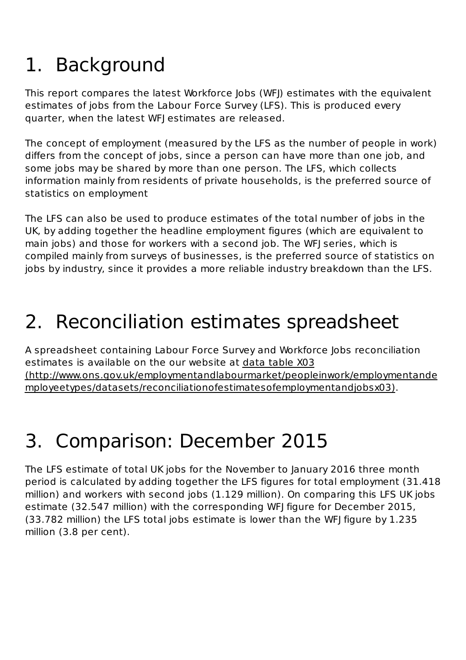# 1. Background

This report compares the latest Workforce Jobs (WFJ) estimates with the equivalent estimates of jobs from the Labour Force Survey (LFS). This is produced every quarter, when the latest WFJ estimates are released.

The concept of employment (measured by the LFS as the number of people in work) differs from the concept of jobs, since a person can have more than one job, and some jobs may be shared by more than one person. The LFS, which collects information mainly from residents of private households, is the preferred source of statistics on employment

The LFS can also be used to produce estimates of the total number of jobs in the UK, by adding together the headline employment figures (which are equivalent to main jobs) and those for workers with a second job. The WFJ series, which is compiled mainly from surveys of businesses, is the preferred source of statistics on jobs by industry, since it provides a more reliable industry breakdown than the LFS.

## 2. Reconciliation estimates spreadsheet

A spreadsheet containing Labour Force Survey and Workforce Jobs reconciliation estimates is available on the our website at data table X03 (http://www.ons.gov.uk/employmentandlabourmarket/peopleinwork/employmentande mployeetypes/datasets/reconciliationofestimatesofemploymentandjobsx03).

# Comparison: December 2015 3.

The LFS estimate of total UK jobs for the November to January 2016 three month period is calculated by adding together the LFS figures for total employment (31.418 million) and workers with second jobs (1.129 million). On comparing this LFS UK jobs estimate (32.547 million) with the corresponding WFJ figure for December 2015, (33.782 million) the LFS total jobs estimate is lower than the WFJ figure by 1.235 million (3.8 per cent).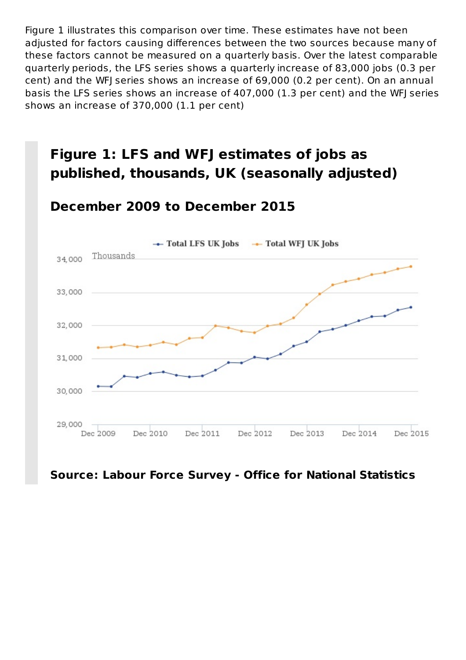Figure 1 illustrates this comparison over time. These estimates have not been adjusted for factors causing differences between the two sources because many of these factors cannot be measured on a quarterly basis. Over the latest comparable quarterly periods, the LFS series shows a quarterly increase of 83,000 jobs (0.3 per cent) and the WFJ series shows an increase of 69,000 (0.2 per cent). On an annual basis the LFS series shows an increase of 407,000 (1.3 per cent) and the WFJ series shows an increase of 370,000 (1.1 per cent)

### **Figure 1: LFS and WFJ estimates of jobs as published, thousands, UK (seasonally adjusted)**

#### **December 2009 to December 2015**



#### **Source: Labour Force Survey - Office for National Statistics**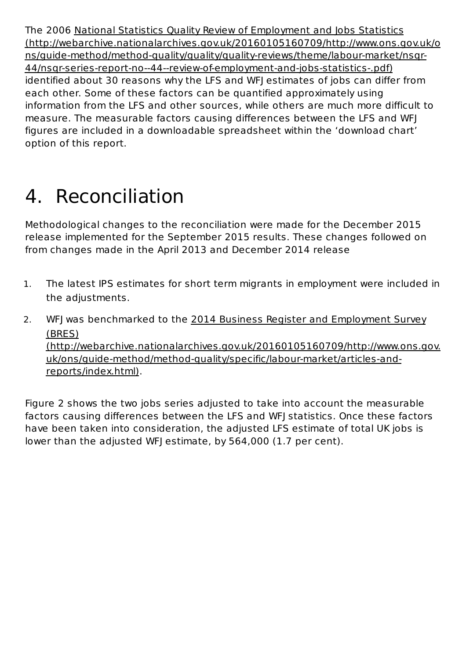The 2006 National Statistics Quality Review of Employment and Jobs Statistics (http://webarchive.nationalarchives.gov.uk/20160105160709/http://www.ons.gov.uk/o ns/guide-method/method-quality/quality/quality-reviews/theme/labour-market/nsqr-44/nsqr-series-report-no--44--review-of-employment-and-jobs-statistics-.pdf) identified about 30 reasons why the LFS and WFJ estimates of jobs can differ from each other. Some of these factors can be quantified approximately using information from the LFS and other sources, while others are much more difficult to measure. The measurable factors causing differences between the LFS and WFJ figures are included in a downloadable spreadsheet within the 'download chart' option of this report.

# 4. Reconciliation

Methodological changes to the reconciliation were made for the December 2015 release implemented for the September 2015 results. These changes followed on from changes made in the April 2013 and December 2014 release

- 1. The latest IPS estimates for short term migrants in employment were included in the adjustments.
- 2. WFJ was benchmarked to the 2014 Business Register and Employment Survey (BRES) (http://webarchive.nationalarchives.gov.uk/20160105160709/http://www.ons.gov. uk/ons/guide-method/method-quality/specific/labour-market/articles-andreports/index.html).

Figure 2 shows the two jobs series adjusted to take into account the measurable factors causing differences between the LFS and WFJ statistics. Once these factors have been taken into consideration, the adjusted LFS estimate of total UK jobs is lower than the adjusted WFJ estimate, by 564,000 (1.7 per cent).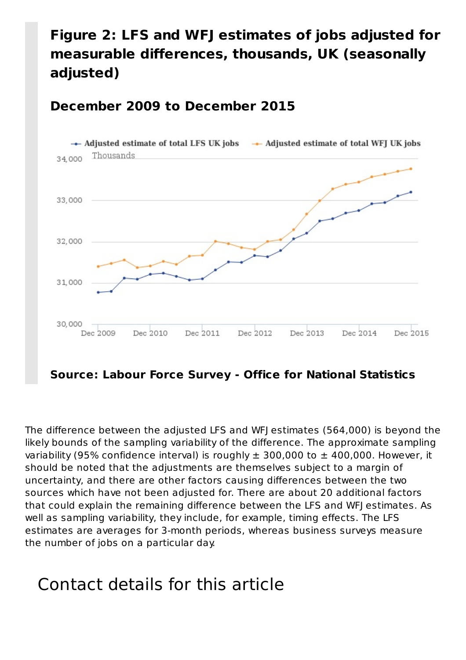### **Figure 2: LFS and WFJ estimates of jobs adjusted for measurable differences, thousands, UK (seasonally adjusted)**

#### **December 2009 to December 2015**



The difference between the adjusted LFS and WFJ estimates (564,000) is beyond the likely bounds of the sampling variability of the difference. The approximate sampling variability (95% confidence interval) is roughly  $\pm$  300,000 to  $\pm$  400,000. However, it should be noted that the adjustments are themselves subject to a margin of uncertainty, and there are other factors causing differences between the two sources which have not been adjusted for. There are about 20 additional factors that could explain the remaining difference between the LFS and WFJ estimates. As well as sampling variability, they include, for example, timing effects. The LFS estimates are averages for 3-month periods, whereas business surveys measure the number of jobs on a particular day.

### Contact details for this article